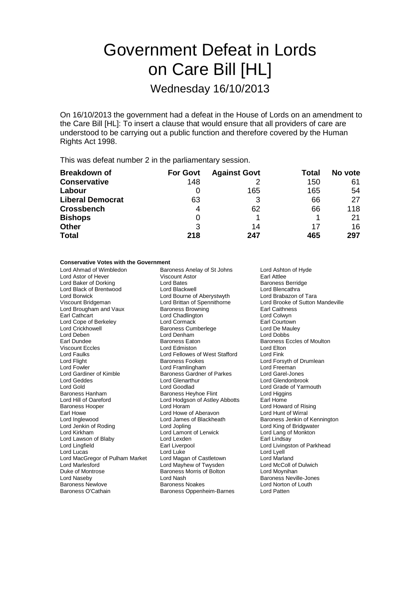# Government Defeat in Lords on Care Bill [HL]

Wednesday 16/10/2013

On 16/10/2013 the government had a defeat in the House of Lords on an amendment to the Care Bill [HL]: To insert a clause that would ensure that all providers of care are understood to be carrying out a public function and therefore covered by the Human Rights Act 1998.

This was defeat number 2 in the parliamentary session.

| <b>Breakdown of</b>     | <b>For Govt</b> | <b>Against Govt</b> | Total | No vote |
|-------------------------|-----------------|---------------------|-------|---------|
| <b>Conservative</b>     | 148             |                     | 150   | 61      |
| Labour                  |                 | 165                 | 165   | 54      |
| <b>Liberal Democrat</b> | 63              |                     | 66    | 27      |
| <b>Crossbench</b>       | 4               | 62                  | 66    | 118     |
| <b>Bishops</b>          | 0               |                     |       | 21      |
| <b>Other</b>            | 3               | 14                  | 17    | 16      |
| <b>Total</b>            | 218             | 247                 | 465   | 297     |

#### **Conservative Votes with the Government**

Lord Ahmad of Wimbledon Baroness Anelay of St Johns Lord Ashton of Hyde<br>
Lord Astor of Hever Corporation Corporate Corporate Corporate Corporate Carl Attlee Lord Astor of Hever **Viscount Astor** Corresponding Lord Bates Carl Attlee<br>
Lord Baker of Dorking **Corresponding**<br>
Lord Bates Corresponding Lord Bates Corresponding Baroness Berridge Lord Baker of Dorking **Communist Constructs Baroness Act and School Bates** Baroness Berrid<br>
Lord Black of Brentwood **Communist Constructs Baroness Berridge Constructs** Lord Blencathra Lord Black of Brentwood Lord Blackwell<br>
Lord Bourne of Aberystwyth Lord Brabazon of Tara<br>
Lord Brabazon of Tara Lord Borwick Lord Bourne of Aberystwyth<br>
Viscount Bridgeman<br>
Lord Brittan of Spennithorne Lord Brittan of Spennithorne Lord Brooke of Sutton Mandeville<br>
Baroness Browning Carl Caithness Lord Brougham and Vaux Baroness Browning Earl Caithness<br>
Earl Cathcart Cathouse Lord Chadlington<br>
Lord Colwyn Lord Chadlington **Lord Colwyn**<br>
Lord Cormack **Lord Courtown** Lord Cope of Berkeley Lord Cormack Earl Courtown Lord Crickhowell **Carry Communist Communist Communist Communist Communist Communist Communist Communist Communist Communist Communist Communist Communist Communist Communist Communist Communist Communist Communist Communis** Lord Deben **Lord Denham**<br> **Earl Dundee** Case Caton Baroness Eaton Viscount Eccles **Communist Eccles** Lord Edmiston **Lord Ether Communist Lord Elton**<br>
Lord Ealth Lord Ellowes of West Stafford Lord Fink Lord Faulks **Lord Fellowes of West Stafford**<br>
Lord Flight **Corporation Corporation**<br>
Baroness Fookes Lord Flight **Baroness Fookes** Lord Forsyth of Drumlean<br>
Lord Formula Lord Forsyth Cord Framlingham<br>
Lord Formula Lord Freeman Lord Fowler Lord Framlingham<br>
Lord Gardiner of Kimble Baroness Gardner Lord Gardiner of Kimble **Baroness Gardner of Parkes** Lord Garel-Jones<br>
Lord Geddes **Corporation**<br>
Lord Glendonbroo Lord Geddes Lord Glenarthur Lord Glendonbrook Baroness Hanham **Baroness Heyhoe Flint** Lord Higgins Lord Hill of Oareford **Lord Hodgson of Astley Abbotts** Earl Home<br>Baroness Hooper **Lord Horam** Lord Horam Lord Howa Baroness Hooper **Lord Horam Conduct Horam Conduct Horam** Lord Howard of Rising<br>
Lord Howe of Aberavon Lord Howe Dord Howard Cord Hunt of Wirral Earl Howe **Lord Howe Of Aberavon**<br>
Lord Inglewood **Lord Lord James of Blackheath** Lord James of Blackheath Baroness Jenkin of Kennington<br>
Lord Jopling Cord King of Bridgwater Lord Jenkin of Roding **Lord Lord Jopling** Lord Lord Lord King of Bridgwater<br>
Lord Kirkham **Lord Lord Lord Lord Lord Lord Lord Lord** Lord Lang of Monkton Lord Lamont of Lerwick Lord Lang of<br>
Lord Lexden Lord Lang Carl Lindsav Lord Lawson of Blaby Lord Lingfield **Earl Liverpool** Earl Liverpool **Lord Livingston of Parkhead Lord Livingston of Parkhead Lord Livingston of Parkhead Lord Livingston of Parkhead Lord Livingston and Lord Livingston and Lord Livingston and Lo** Lord Luke Lord Lyell<br>
Lord Magan of Castletown<br>
Lord Marland Lord MacGregor of Pulham Market Lord Magan of Castletown Lord Marland Lord Mayhew of Twysden Duke of Montrose **Baroness Morris of Bolton** Lord Moynihan<br>
Lord Naseby **Baroness Nevil**<br>
Lord Nash Coronal Ash Baroness Nevil Lord Naseby **Lord Nash Baroness Neville-Jones**<br>
Baroness Newlove Baroness Noakes<br>
Baroness Newlove Baroness Noakes<br>
Lord Norton of Louth Baroness O'Cathain Baroness Oppenheim-Barnes Lord Patten

Baroness Eccles of Moulton Lord Grade of Yarmouth Lord Norton of Louth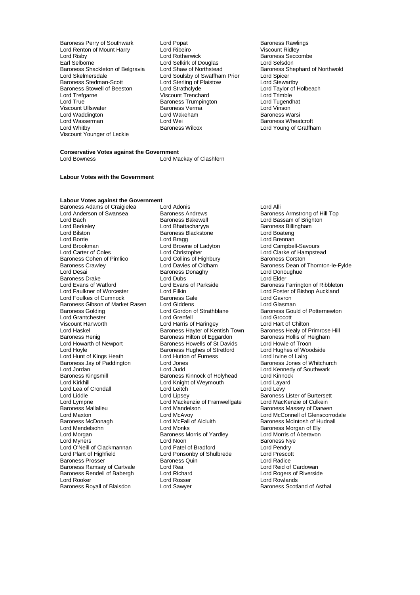- Baroness Perry of Southwark Lord Popat Corporation Baroness Rawlings<br>
Lord Renton of Mount Harry Lord Ribeiro Corporation Corporation Corporation Ridley Lord Renton of Mount Harry Lord Ribeiro<br>Lord Risby Viscount Ridley Rord Rotherwick Lord Risby **Lord Rotherwick** Baroness Seccombe<br>
Earl Selborne **Baroness Seccombe**<br>
Lord Selsdon Lord Selsdon Baroness Shackleton of Belgravia Lord Shaw of Northstead Baroness S<br>
Lord Skelmersdale Lord Soulsby of Swaffham Prior Lord Spicer Lord Skelmersdale **Lord Soulsby of Swaffham Prior** Lord Spicer<br> **Baroness Stedman-Scott** Lord Sterling of Plaistow Lord Stewartby Baroness Stowell of Beeston Lord Strathclyde Cord Taylor Cord Taylor c<br>
Lord Trefgarne Cord Coronal Coronal Coronal Cord Trimble Lord Trefgarne Viscount Trenchard Lord Trimble Viscount Ullswater Baroness Verma Lord Vinson Lord Waddington Lord Wakeham Baroness Warshand Lord Warsing Warshand Lord Warsing Warshand Lord Wei Lord Wasserman Lord Wei Communication and Lord Wei Communications are determined by Baroness Wheatcroft<br>
Lord Whitby Communication Baroness Wilcox Communications Communications and Device Baroness Wheatcroft Viscount Younger of Leckie
	- Lord Sterling of Plaistow Lord Stewartby<br>
	Lord Strathclyde Lord Taylor of Holbeach Baroness Trumpington Lord Tugendhaton Lord Tugendhaton<br>Baroness Verma
	- Lord Selkirk of Douglas<br>
	Lord Shaw of Northstead<br>
	Baroness Shephard of Northwold Lord Young of Graffham

**Conservative Votes against the Government**<br>Lord Bowness Lord Ma Lord Mackay of Clashfern

#### **Labour Votes with the Government**

### **Labour Votes against the Government**

Lord Anderson of Swansea Baroness Andrews Baroness Armstrong of Hill Top<br>
Baroness Bakewell
Baroness Bakewell
Baroness Bakewell
Baroness Bakewell
Baroness Bakewell
Baroness Bakewell
Baroness Bakewell
Baroness Bakewell
Baro Lord Bach Baroness Bakewell **Baroness Bakewell**<br>
Lord Berkeley **Baroness Bakewell** Cord Baroness Billingham Lord Berkeley **Lord Bhattacharyya** Baroness Billingham<br>
Lord Bilston **Baroness Blackstone Baroness Blackstone** Lord Boateng Lord Bilston Baroness Blackstone<br>
Lord Borrie **Baroness Blackstone**<br>
Lord Bragg Lord Borrie **Lord Bragg Lord Bragg Lord Bragg Lord Brennan**<br>
Lord Brookman **Lord Browne of Ladyton** Lord Campbel Lord Brookman **Lord Brookman** Lord Browne of Ladyton **Lord Campbell-Savours**<br>
Lord Carter of Coles **Lord Christopher** Lord Charke of Hampstea Lord Carter of Coles Lord Christopher Lord Carter of Hampstead<br>
Baroness Cohen of Pimlico Lord Collins of Highbury Baroness Corston Baroness Cohen of Pimlico Lord Collins of Highbury<br>Baroness Crawley Lord Davies of Oldham Baroness Drake Lord Dubs<br>
Lord Evans of Watford Lord Evans of Parkside Lord Evans of Watford **Lord Evans of Parkside** Baroness Farrington of Ribbleton<br>
Lord Eaulkner of Worcester **Lord Election Cord Filkin**<br>
Lord Eoster of Bishop Auckland Lord Foulkes of Cumnock Baroness Gale Lord Gavron Baroness Gibson of Market Rasen Lord Giddens<br>Baroness Golding **Lord Gordon of Strathblane** Lord Grantchester Lord Grenfell Lord Grocott Viscount Hanworth **Lord Harris of Haringey**<br>
Lord Haskel **Lord Hart Of Chilton**<br>
Baroness Hayter of Kentish Town Lord Haskel Baroness Hayter of Kentish Town Baroness Healy of Primrose Hill<br>Baroness Henig Baroness Hilton of Eggardon Baroness Hollis of Heigham Baroness Henig Baroness Hilton of Eggardon Baroness Hollis of He<br>
Lord Howarth of Newport Baroness Howells of St Davids Lord Howie of Troon Lord Howarth of Newport Baroness Howells of St Davids Lord Howie of Troon<br>
Lord Hoyle Cord Hughes of Woodside<br>
Lord Hughes of Woodside Lord Hunt of Kings Heath Lord Hutton of Furness Lord Irvine of Lairg<br>
Baroness Jay of Paddington Lord Jones Lord Europes Cones of Baroness Jay of Paddington Lord Jones<br>
Lord Lord Jordan Lord Lord Lord The Lord Kennedy of Southwark Lord Jordan **Lord Lord Lord Judd** Lord Judd Lord Cord Kennedy of Southwark<br>
Baroness Kingsmill **Baroness Kinnock of Holyhead** Lord Kinnock Baroness Kingsmill Baroness Kinnock of Holyhead Lord Kinnock<br>
Lord Kinnock of Kinght of Weymouth Lord Layard Lord Lea of Crondall Lord Leitch<br>
Lord Liddle Lord Lipsev Lord Lympne Lord Mackenzie of Framwellgate<br>
Baroness Mallalieu<br>
Lord Mandelson Baroness Mallalieu **Lord Mandelson** Baroness Massey of Darwen<br>
Lord Mandelson Baroness Massey of Darwen<br>
Lord Maxton Baroness Massey of Darwen Baroness McDonagh Lord McFall of Alcluith Baroness McIntosh of Hudnall Lord Mendelsohn Lord Monks Lord Monks Baroness Morgan of Ely<br>
Lord Morgan Cord Montes Baroness Morris of Yardley Lord Morris of Aberavon Lord Morgan **Baroness Morris of Yardley**<br>
Lord Morers
Lord Morers **Lord Aberavon** Lord O'Neill of Clackmannan Lord Patel of Bradford Lord Pendry<br>
Lord Plant of Highfield Lord Ponsonby of Shulbrede Lord Prescott Baroness Prosser Baroness Quin Lord Radice Baroness Ramsay of Cartvale Lord Rea Lord Rea Lord Reid of Cardowan<br>
Baroness Rendell of Babergh Lord Richard Cord Rosen Lord Rogers of Riverside Baroness Rendell of Babergh Lord Richard<br>Lord Rooker Lord Rosser Baroness Royall of Blaisdon

Baroness Adams of Craigielea Lord Adonis Lord Alli Baroness Donaghy Lord Donoughue<br>
Lord Dubs<br>
Lord Elder Lord Filkin<br>
Baroness Gale<br>
Lord Gavron<br>
Lord Gavron Baroness Hughes of Stretford Lord Knight of Weymouth Lord Layard Lord Layard Lord Layard Lord Levy Lord Noon **Baroness Nye Cord Patel of Bradford Baroness Nye Cord Pendry** Lord Ponsonby of Shulbrede Lord Prescot<br>Baroness Quin de Lord Radice Lord Rosser **Lord Rowlands**<br>
Lord Sawver **Lord Rowlands**<br>
Lord Sawver **Lord Rowlands** 

Baroness Crawley **Lord Davies of Oldham** Baroness Dean of Thornton-le-Fylde<br>
Lord Desai **Baroness Donaghy** Lord Donoughue Lord Gordon of Strathblane Baroness Gould of Potternewton<br>
Lord Greenfell<br>
Lord Grocott Baroness Lister of Burtersett<br>Lord MacKenzie of Culkein Lord Maxton Lord McAvoy Lord McConnell of Glenscorrodale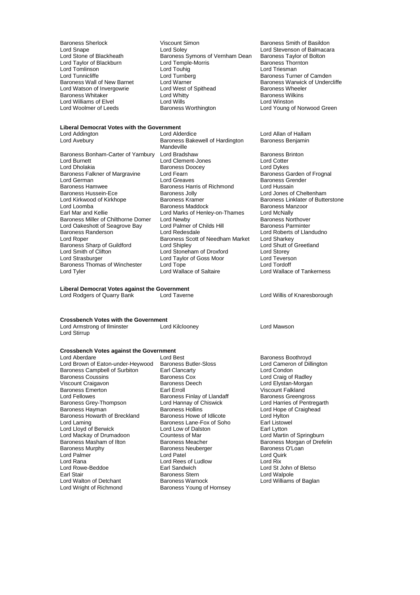Lord Tomlinson<br>
Lord Tunnicliffe 
Lord Tunnicliffe 
Lord Tunnberg Lord Williams of Elvel Lord Wills<br>
Lord Woolmer of Leeds
Lord Baroness Worthington

Baroness Sherlock **Viscount Simon** Baroness Smith of Basildon<br>
Lord Snape **Baroness** Smith of Balmaca Lord Snape Lord Soley Lord Soley Lord Solew Lord Stevenson of Balmacara<br>
Lord Stevenson of Blackheath Baroness Symons of Vernham Dean Baroness Taylor of Bolton Baroness Symons of Vernham Dean Baroness Taylor of Lord Temple-Morris Lord Taylor of Blackburn Lord Temple-Morris Baroness Thornton Baroness Thornton Lord Temple-Morris Baroness Tho<br>Lord Touhig Lord Touhig Lord Triesman Lord Turnberg Turner of Camden<br>Lord Warner **Lord Turner Baroness Warwick of Undercliffe** Baroness Wall of New Barnet Lord Warner Communication and Baroness Warwick Lord Warner Cord West of Spithead Cord West of Spithead Baroness Wheeler Lord Watson of Invergowrie **Lord West of Spithead** Baroness Wheeler<br>Baroness Whitaker **Baroness Wilkins** Lord Whitty **Conserverse Conservers** Baroness Wilkins Baroness Whitaker **Communist Search Controllery Controllery** Cord Whitty Cord Wills<br>
Lord Williams of Elvel **Baroness Williams of Elvel Cord Williams** Cord Wills

### **Liberal Democrat Votes with the Government**

Baroness Bonham-Carter of Yarnbury Lord Bradshaw Baroness Brinton<br>
Lord Burnett Baroness Brinton<br>
Lord Burnett Barones Lord Burnett Lord Clement-Jones Lord Cotter Baroness Falkner of Margravine Lord Fearn<br>Lord German Baroness Lord Greaves Lord German Lord Greaves Creater Baroness Grender<br>
Baroness Hamwee Baroness Harris of Richmond Lord Hussain Baroness Hamwee<br>Baroness Hussein-Ece Baroness Jolly Baroness Hussein-Ece Baroness Hussein-Ece **Baroness Jolly** Baroness Jolly Lord Jones of Cheltenham<br>
Lord Kirkwood of Kirkhope Baroness Kramer Baroness Linklater of Butte Lord Kirkwood of Kirkhope **Baroness Kramer** Baroness Linklater of Butterstone<br>
Baroness Maddock Baroness Manzoor Lord Loomba **Combannel Baroness Maddock** Baroness Manazoor Baroness Manazoor Baroness Manazoor Baroness Manazoor<br>Baroor Baroor Baroor Baroor Baroor Baroor Baroor Baroor Baroor Baroor Baroor Baroor Baroor Baroor Baroor Baro Baroness Miller of Chilthorne Domer Lord Newby<br>
Lord Cakeshott of Seagrove Bay Lord Palmer of Childs Hill Baroness Parminter Lord Oakeshott of Seagrove Bay Lord Palmer of C<br>Baroness Randerson **Baroness Hill Baroness Anderson** Baroness Randerson **Lord Redesdale** Lord Roberts of Llandudno<br>
Lord Robert Baroness Scott of Needham Market Lord Sharkey<br>
Lord Shutt of Greetland Lord Shipley Lord Shutt of Greetland Baroness Sharp of Guildford Lord Shipley Lord Shutt of Clifton Lord Shutt of Clifton Lord Stoneham of Droxford Lord Storey Lord Smith of Clifton Lord Stoneham of Droxford Lord Storey Baroness Thomas of Winchester Lord Tope<br>
Lord Tyler Lord Wallace of Saltaire

Lord Addington **Communist Constructer Constructs**<br>
Lord Avebury **Communist Constructs**<br>
Lord Avebury **Communist Communist Constructs**<br>
Baroness Benjamin Baroness Bakewell of Hardington Mandeville<br>Lord Bradshaw Baroness Doocey **Communist Constructs** Lord Dykes<br>
Lord Fearn **Communist Baroness Garden of Frognal** Lord Marks of Henley-on-Thames Lord McNally<br>
Lord Newby Baroness Northover

Baroness Scott of Needham Market<br>Lord Shipley Lord Taylor of Goss Moor Lord Teverson<br>Lord Tope Lord Tordoff

#### **Liberal Democrat Votes against the Government** Lord Rodgers of Quarry Bank Lord Taverne Lord Willis of Knaresborough

### **Crossbench Votes with the Government**<br>Lord Armstrong of Ilminster Lord Kilclooney

Lord Stirrup

Lord Armstrong of Ilminster Lord Kilclooney Lord Mawson

### **Crossbench Votes against the Government**

Lord Brown of Eaton-under-Heywood Baroness Butler-Sloss Lord Cameron Cameron Baroness Campbell of Surbiton Earl Clancarty Lord Condon Baroness Campbell of Surbiton Earl Clancarty<br>Baroness Coussins Condon Baroness Cox errich Baroness Coussins Faroness Cox Exercise Controller Controller Controller Controller Controller Controller<br>
Baroness Deech Lord Elystan-Morgan<br>
Lord Elystan-Morgan Baroness Emerton **Earl Erroll** Earl Erroll Carl Erroll Viscount Falkland<br>
Lord Fellowes **Example State Connect Connect Connect Connect** Baroness Greengross Lord Fellowes **Baroness Finlay of Llandaff** Baroness Finlay of Llandaff Baroness Finlay of Chiswick Baroness Grey-Thompson Lord Hannay of Chiswick Lord Harries of Pentregarth<br>Baroness Hayman Baroness Hollins Lord Hope of Craighead Baroness Howarth of Breckland Baroness Howe of Idlicote Lord Hylton<br>
Lord Laming Caroness Lane-Fox of Soho Earl Listowel Lord Lloyd of Berwick Lord Lord Low of Dalston Carl Lytton Earl Lytton Countess of Mar<br>
Lord Mackay of Drumadoon Countess of Mar Countess of Mar Lord Martin of Springburn Lord Mackay of Drumadoon Countess of Mar<br>
Baroness Masham of Ilton Baroness Meacher Baroness Masham of Ilton Baroness Meacher **Baroness Meacher** Baroness Morgan of Drefelin<br>Baroness Murphy Baroness Neuberger Baroness O'Loan Lord Palmer in Corresponding Lord Patel Corresponding Lord Quirk Lord Quirk Lord Quirk<br>
Lord Rana in Lord Rees of Ludlow Lord Rix Lord Rana Lord Rees of Ludlow<br>
Lord Rowe-Beddoe Lord Earl Sandwich Lord Rowe-Beddoe Earl Sandwich Lord St John of Bletso Earl Stair<br>
Lord Walton of Detchant<br>
Baroness Warnock

Baroness Deech Lord Elystan-Morgan<br>
Earl Erroll Carl Craigavon Corporation Craigan Baroness Hollins<br>
Baroness Howe of Idlicote<br>
Lord Hylton<br>
Lord Hylton Earoness Lane-Fox of Soho Earl Listowell Carl Listowell Baroness Lane-Fox of Soho Earl Lytton Baroness Neuberger Baroness (Baroness Neuberger Baroness C<br> **Baroness Neuberger Baroness Communist** Lord Quirk Lord Wright of Richmond Baroness Young of Hornsey

Lord Young of Norwood Green

Lord Wallace of Tankerness

Lord Best<br>
Baroness Butler-Sloss<br>
Lord Cameron of Dillington Lord Williams of Baglan